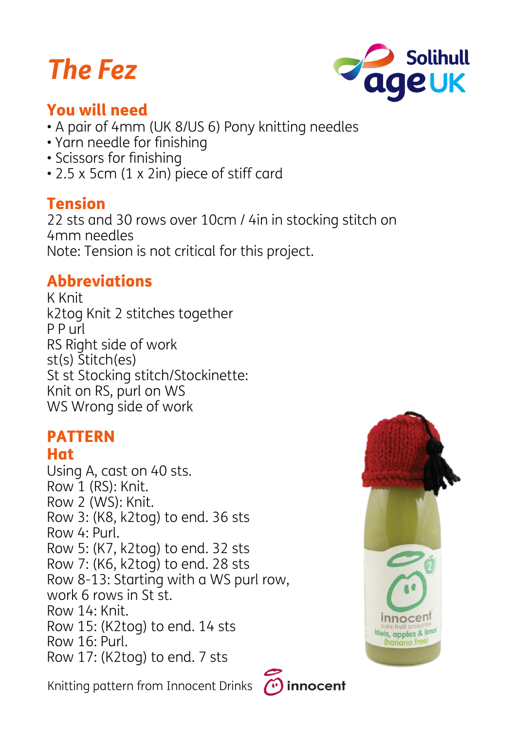# *The Fez*



## You will need

- A pair of 4mm (UK 8/US 6) Pony knitting needles
- Yarn needle for finishing
- Scissors for finishing
- 2.5 x 5cm (1 x 2in) piece of stiff card

#### Tension

22 sts and 30 rows over 10cm / 4in in stocking stitch on 4mm needles Note: Tension is not critical for this project.

# Abbreviations

K Knit k2tog Knit 2 stitches together P P url RS Right side of work st(s) Stitch(es) St st Stocking stitch/Stockinette: Knit on RS, purl on WS WS Wrong side of work

#### PATTERN Hat

Using A, cast on 40 sts. Row 1 (RS): Knit. Row 2 (WS): Knit. Row 3: (K8, k2tog) to end. 36 sts Row 4: Purl. Row 5: (K7, k2tog) to end. 32 sts Row 7: (K6, k2tog) to end. 28 sts Row 8-13: Starting with a WS purl row, work 6 rows in St st. Row 14: Knit. Row 15: (K2tog) to end. 14 sts Row 16: Purl. Row 17: (K2tog) to end. 7 sts

Knitting pattern from Innocent Drinks



 $\curvearrowright$  innocent